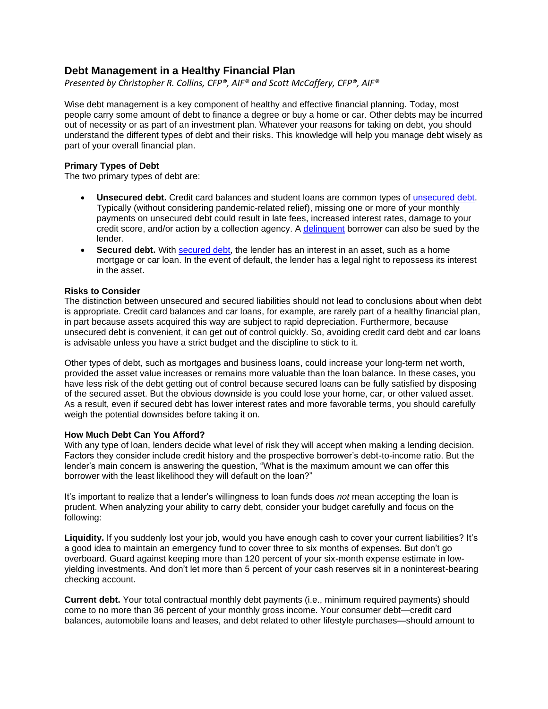# **Debt Management in a Healthy Financial Plan**

*Presented by Christopher R. Collins, CFP®, AIF® and Scott McCaffery, CFP®, AIF®*

Wise debt management is a key component of healthy and effective financial planning. Today, most people carry some amount of debt to finance a degree or buy a home or car. Other debts may be incurred out of necessity or as part of an investment plan. Whatever your reasons for taking on debt, you should understand the different types of debt and their risks. This knowledge will help you manage debt wisely as part of your overall financial plan.

## **Primary Types of Debt**

The two primary types of debt are:

- **Unsecured debt.** Credit card balances and student loans are common types of [unsecured debt.](https://www.investopedia.com/terms/u/unsecureddebt.asp) Typically (without considering pandemic-related relief), missing one or more of your monthly payments on unsecured debt could result in late fees, increased interest rates, damage to your credit score, and/or action by a collection agency. A [delinquent](https://www.investopedia.com/terms/d/delinquent.asp) borrower can also be sued by the lender.
- **Secured debt.** With [secured debt,](https://www.investopedia.com/terms/s/secureddebt.asp) the lender has an interest in an asset, such as a home mortgage or car loan. In the event of default, the lender has a legal right to repossess its interest in the asset.

# **Risks to Consider**

The distinction between unsecured and secured liabilities should not lead to conclusions about when debt is appropriate. Credit card balances and car loans, for example, are rarely part of a healthy financial plan, in part because assets acquired this way are subject to rapid depreciation. Furthermore, because unsecured debt is convenient, it can get out of control quickly. So, avoiding credit card debt and car loans is advisable unless you have a strict budget and the discipline to stick to it.

Other types of debt, such as mortgages and business loans, could increase your long-term net worth, provided the asset value increases or remains more valuable than the loan balance. In these cases, you have less risk of the debt getting out of control because secured loans can be fully satisfied by disposing of the secured asset. But the obvious downside is you could lose your home, car, or other valued asset. As a result, even if secured debt has lower interest rates and more favorable terms, you should carefully weigh the potential downsides before taking it on.

### **How Much Debt Can You Afford?**

With any type of loan, lenders decide what level of risk they will accept when making a lending decision. Factors they consider include credit history and the prospective borrower's debt-to-income ratio. But the lender's main concern is answering the question, "What is the maximum amount we can offer this borrower with the least likelihood they will default on the loan?"

It's important to realize that a lender's willingness to loan funds does *not* mean accepting the loan is prudent. When analyzing your ability to carry debt, consider your budget carefully and focus on the following:

**Liquidity.** If you suddenly lost your job, would you have enough cash to cover your current liabilities? It's a good idea to maintain an emergency fund to cover three to six months of expenses. But don't go overboard. Guard against keeping more than 120 percent of your six-month expense estimate in lowyielding investments. And don't let more than 5 percent of your cash reserves sit in a noninterest-bearing checking account.

**Current debt.** Your total contractual monthly debt payments (i.e., minimum required payments) should come to no more than 36 percent of your monthly gross income. Your consumer debt—credit card balances, automobile loans and leases, and debt related to other lifestyle purchases—should amount to